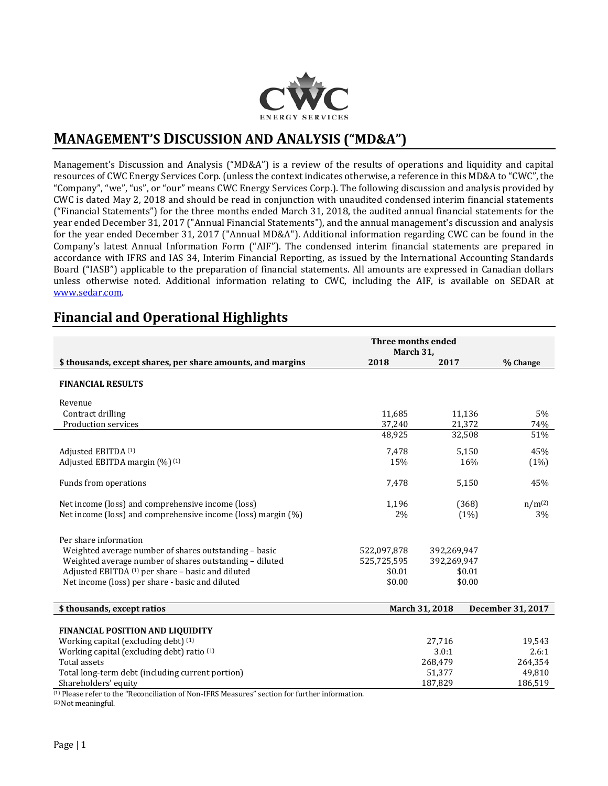

# **MANAGEMENT'S DISCUSSION AND ANALYSIS ("MD&A")**

Management's Discussion and Analysis ("MD&A") is a review of the results of operations and liquidity and capital resources of CWC Energy Services Corp. (unless the context indicates otherwise, a reference in this MD&A to "CWC", the "Company", "we", "us", or "our" means CWC Energy Services Corp.). The following discussion and analysis provided by CWC is dated May 2, 2018 and should be read in conjunction with unaudited condensed interim financial statements ("Financial Statements") for the three months ended March 31, 2018, the audited annual financial statements for the year ended December 31, 2017 ("Annual Financial Statements"), and the annual management's discussion and analysis for the year ended December 31, 2017 ("Annual MD&A"). Additional information regarding CWC can be found in the Company's latest Annual Information Form ("AIF"). The condensed interim financial statements are prepared in accordance with IFRS and IAS 34, Interim Financial Reporting, as issued by the International Accounting Standards Board ("IASB") applicable to the preparation of financial statements. All amounts are expressed in Canadian dollars unless otherwise noted. Additional information relating to CWC, including the AIF, is available on SEDAR at [www.sedar.com.](http://www.sedar.com/)

## **Financial and Operational Highlights**

|                                                              | Three months ended |                |                   |
|--------------------------------------------------------------|--------------------|----------------|-------------------|
|                                                              | March 31,          |                |                   |
| \$ thousands, except shares, per share amounts, and margins  | 2018               | 2017           | % Change          |
| <b>FINANCIAL RESULTS</b>                                     |                    |                |                   |
| Revenue                                                      |                    |                |                   |
| Contract drilling                                            | 11,685             | 11,136         | $5\%$             |
| Production services                                          | 37,240             | 21,372         | 74%               |
|                                                              | 48,925             | 32,508         | 51%               |
| Adjusted EBITDA (1)                                          | 7,478              | 5,150          | 45%               |
| Adjusted EBITDA margin (%) <sup>(1)</sup>                    | 15%                | 16%            | (1%)              |
| Funds from operations                                        | 7,478              | 5,150          | 45%               |
| Net income (loss) and comprehensive income (loss)            | 1,196              | (368)          | $n/m^{(2)}$       |
| Net income (loss) and comprehensive income (loss) margin (%) | 2%                 | (1%)           | 3%                |
| Per share information                                        |                    |                |                   |
| Weighted average number of shares outstanding - basic        | 522,097,878        | 392,269,947    |                   |
| Weighted average number of shares outstanding - diluted      | 525,725,595        | 392,269,947    |                   |
| Adjusted EBITDA (1) per share - basic and diluted            | \$0.01             | \$0.01         |                   |
| Net income (loss) per share - basic and diluted              | \$0.00             | \$0.00         |                   |
|                                                              |                    |                |                   |
| \$ thousands, except ratios                                  |                    | March 31, 2018 | December 31, 2017 |
| <b>FINANCIAL POSITION AND LIQUIDITY</b>                      |                    |                |                   |
| Working capital (excluding debt) (1)                         |                    | 27,716         | 19,543            |
| Working capital (excluding debt) ratio (1)                   |                    | 3.0:1          | 2.6:1             |
| <b>Total assets</b>                                          |                    | 268,479        | 264,354           |
| Total long-term debt (including current portion)             |                    | 51,377         | 49,810            |
| Shareholders' equity                                         |                    | 187,829        | 186,519           |

(1) Please refer to the "Reconciliation of Non-IFRS Measures" section for further information.

(2) Not meaningful.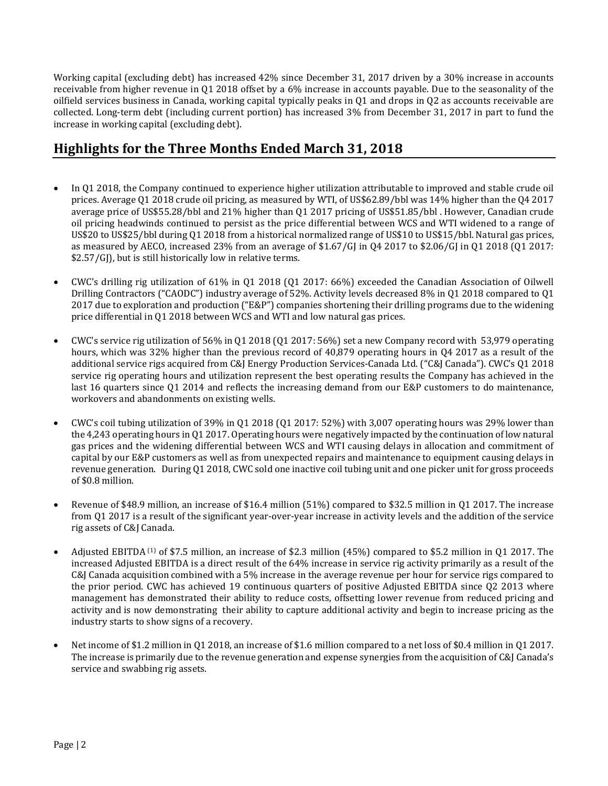Working capital (excluding debt) has increased 42% since December 31, 2017 driven by a 30% increase in accounts receivable from higher revenue in Q1 2018 offset by a 6% increase in accounts payable. Due to the seasonality of the oilfield services business in Canada, working capital typically peaks in Q1 and drops in Q2 as accounts receivable are collected. Long-term debt (including current portion) has increased 3% from December 31, 2017 in part to fund the increase in working capital (excluding debt).

# **Highlights for the Three Months Ended March 31, 2018**

- In Q1 2018, the Company continued to experience higher utilization attributable to improved and stable crude oil prices. Average Q1 2018 crude oil pricing, as measured by WTI, of US\$62.89/bbl was 14% higher than the Q4 2017 average price of US\$55.28/bbl and 21% higher than Q1 2017 pricing of US\$51.85/bbl . However, Canadian crude oil pricing headwinds continued to persist as the price differential between WCS and WTI widened to a range of US\$20 to US\$25/bbl during Q1 2018 from a historical normalized range of US\$10 to US\$15/bbl. Natural gas prices, as measured by AECO, increased 23% from an average of \$1.67/GJ in Q4 2017 to \$2.06/GJ in Q1 2018 (Q1 2017: \$2.57/GJ), but is still historically low in relative terms.
- CWC's drilling rig utilization of 61% in Q1 2018 (Q1 2017: 66%) exceeded the Canadian Association of Oilwell Drilling Contractors ("CAODC") industry average of 52%. Activity levels decreased 8% in Q1 2018 compared to Q1 2017 due to exploration and production ("E&P") companies shortening their drilling programs due to the widening price differential in Q1 2018 between WCS and WTI and low natural gas prices.
- CWC's service rig utilization of 56% in Q1 2018 (Q1 2017: 56%) set a new Company record with 53,979 operating hours, which was 32% higher than the previous record of 40,879 operating hours in Q4 2017 as a result of the additional service rigs acquired from C&J Energy Production Services-Canada Ltd. ("C&J Canada"). CWC's Q1 2018 service rig operating hours and utilization represent the best operating results the Company has achieved in the last 16 quarters since Q1 2014 and reflects the increasing demand from our E&P customers to do maintenance, workovers and abandonments on existing wells.
- CWC's coil tubing utilization of 39% in Q1 2018 (Q1 2017: 52%) with 3,007 operating hours was 29% lower than the 4,243 operating hours in Q1 2017. Operating hours were negatively impacted by the continuation of low natural gas prices and the widening differential between WCS and WTI causing delays in allocation and commitment of capital by our E&P customers as well as from unexpected repairs and maintenance to equipment causing delays in revenue generation. During Q1 2018, CWC sold one inactive coil tubing unit and one picker unit for gross proceeds of \$0.8 million.
- Revenue of \$48.9 million, an increase of \$16.4 million (51%) compared to \$32.5 million in Q1 2017. The increase from Q1 2017 is a result of the significant year-over-year increase in activity levels and the addition of the service rig assets of C&J Canada.
- Adjusted EBITDA (1) of \$7.5 million, an increase of \$2.3 million (45%) compared to \$5.2 million in Q1 2017. The increased Adjusted EBITDA is a direct result of the 64% increase in service rig activity primarily as a result of the C&J Canada acquisition combined with a 5% increase in the average revenue per hour for service rigs compared to the prior period. CWC has achieved 19 continuous quarters of positive Adjusted EBITDA since Q2 2013 where management has demonstrated their ability to reduce costs, offsetting lower revenue from reduced pricing and activity and is now demonstrating their ability to capture additional activity and begin to increase pricing as the industry starts to show signs of a recovery.
- Net income of \$1.2 million in Q1 2018, an increase of \$1.6 million compared to a net loss of \$0.4 million in Q1 2017. The increase is primarily due to the revenue generation and expense synergies from the acquisition of C&J Canada's service and swabbing rig assets.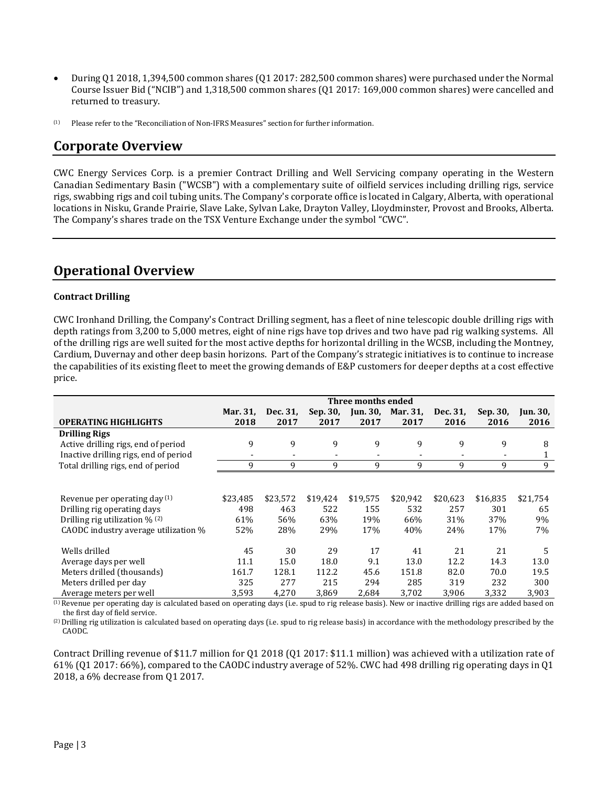- During Q1 2018, 1,394,500 common shares (Q1 2017: 282,500 common shares) were purchased under the Normal Course Issuer Bid ("NCIB") and 1,318,500 common shares (Q1 2017: 169,000 common shares) were cancelled and returned to treasury.
- (1) Please refer to the "Reconciliation of Non-IFRS Measures" section for further information.

### **Corporate Overview**

CWC Energy Services Corp. is a premier Contract Drilling and Well Servicing company operating in the Western Canadian Sedimentary Basin ("WCSB") with a complementary suite of oilfield services including drilling rigs, service rigs, swabbing rigs and coil tubing units. The Company's corporate office is located in Calgary, Alberta, with operational locations in Nisku, Grande Prairie, Slave Lake, Sylvan Lake, Drayton Valley, Lloydminster, Provost and Brooks, Alberta. The Company's shares trade on the TSX Venture Exchange under the symbol "CWC".

# **Operational Overview**

### **Contract Drilling**

CWC Ironhand Drilling, the Company's Contract Drilling segment, has a fleet of nine telescopic double drilling rigs with depth ratings from 3,200 to 5,000 metres, eight of nine rigs have top drives and two have pad rig walking systems. All of the drilling rigs are well suited for the most active depths for horizontal drilling in the WCSB, including the Montney, Cardium, Duvernay and other deep basin horizons. Part of the Company's strategic initiatives is to continue to increase the capabilities of its existing fleet to meet the growing demands of E&P customers for deeper depths at a cost effective price.

|                                                                                                                                             | Three months ended                  |                                     |                                     |                                   |                                     |                                    |                                    |                                   |
|---------------------------------------------------------------------------------------------------------------------------------------------|-------------------------------------|-------------------------------------|-------------------------------------|-----------------------------------|-------------------------------------|------------------------------------|------------------------------------|-----------------------------------|
| <b>OPERATING HIGHLIGHTS</b>                                                                                                                 | Mar. 31,<br>2018                    | Dec. 31,<br>2017                    | Sep. 30,<br>2017                    | <b>Jun. 30,</b><br>2017           | Mar. 31,<br>2017                    | Dec. 31,<br>2016                   | Sep. 30,<br>2016                   | Jun. 30,<br>2016                  |
| <b>Drilling Rigs</b>                                                                                                                        |                                     |                                     |                                     |                                   |                                     |                                    |                                    |                                   |
| Active drilling rigs, end of period                                                                                                         | 9                                   | 9                                   | 9                                   | 9                                 | 9                                   | 9                                  | 9                                  | 8                                 |
| Inactive drilling rigs, end of period                                                                                                       | $\overline{\phantom{a}}$            |                                     | $\blacksquare$                      | $\blacksquare$                    | -                                   | $\overline{\phantom{a}}$           | $\overline{\phantom{a}}$           | 1                                 |
| Total drilling rigs, end of period                                                                                                          | 9                                   | 9                                   | 9                                   | 9                                 | 9                                   | 9                                  | 9                                  | 9                                 |
| Revenue per operating day $(1)$<br>Drilling rig operating days<br>Drilling rig utilization $\%$ (2)<br>CAODC industry average utilization % | \$23,485<br>498<br>61%<br>52%       | \$23.572<br>463<br>56%<br>28%       | \$19,424<br>522<br>63%<br>29%       | \$19,575<br>155<br>19%<br>17%     | \$20.942<br>532<br>66%<br>40%       | \$20,623<br>257<br>31%<br>24%      | \$16,835<br>301<br>37%<br>17%      | \$21,754<br>65<br>9%<br>7%        |
| Wells drilled<br>Average days per well<br>Meters drilled (thousands)<br>Meters drilled per day<br>Average meters per well                   | 45<br>11.1<br>161.7<br>325<br>3,593 | 30<br>15.0<br>128.1<br>277<br>4,270 | 29<br>18.0<br>112.2<br>215<br>3.869 | 17<br>9.1<br>45.6<br>294<br>2.684 | 41<br>13.0<br>151.8<br>285<br>3,702 | 21<br>12.2<br>82.0<br>319<br>3,906 | 21<br>14.3<br>70.0<br>232<br>3,332 | 5<br>13.0<br>19.5<br>300<br>3,903 |

<sup>(1)</sup> Revenue per operating day is calculated based on operating days (i.e. spud to rig release basis). New or inactive drilling rigs are added based on the first day of field service.

(2)Drilling rig utilization is calculated based on operating days (i.e. spud to rig release basis) in accordance with the methodology prescribed by the CAODC.

Contract Drilling revenue of \$11.7 million for Q1 2018 (Q1 2017: \$11.1 million) was achieved with a utilization rate of 61% (Q1 2017: 66%), compared to the CAODC industry average of 52%. CWC had 498 drilling rig operating days in Q1 2018, a 6% decrease from Q1 2017.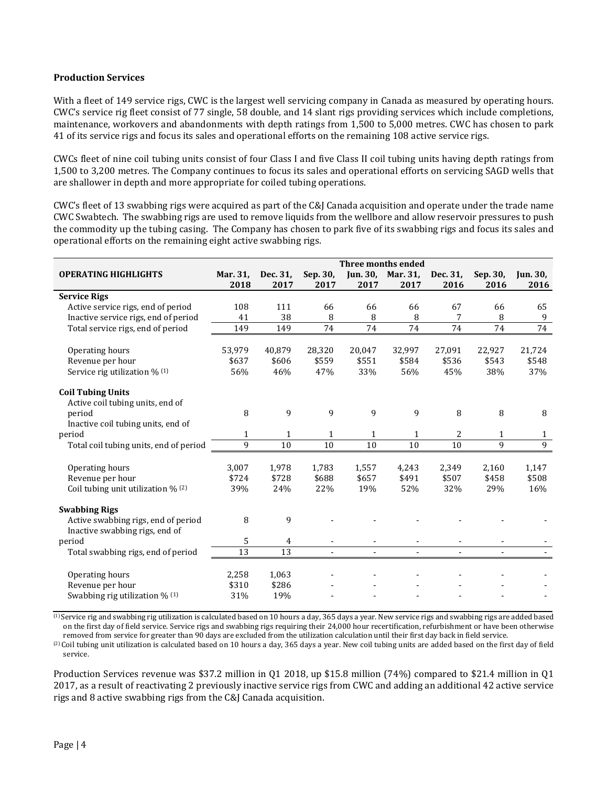#### **Production Services**

With a fleet of 149 service rigs, CWC is the largest well servicing company in Canada as measured by operating hours. CWC's service rig fleet consist of 77 single, 58 double, and 14 slant rigs providing services which include completions, maintenance, workovers and abandonments with depth ratings from 1,500 to 5,000 metres. CWC has chosen to park 41 of its service rigs and focus its sales and operational efforts on the remaining 108 active service rigs.

CWCs fleet of nine coil tubing units consist of four Class I and five Class II coil tubing units having depth ratings from 1,500 to 3,200 metres. The Company continues to focus its sales and operational efforts on servicing SAGD wells that are shallower in depth and more appropriate for coiled tubing operations.

CWC's fleet of 13 swabbing rigs were acquired as part of the C&J Canada acquisition and operate under the trade name CWC Swabtech. The swabbing rigs are used to remove liquids from the wellbore and allow reservoir pressures to push the commodity up the tubing casing. The Company has chosen to park five of its swabbing rigs and focus its sales and operational efforts on the remaining eight active swabbing rigs.

|                                        | Three months ended |          |                |        |                   |          |          |                 |
|----------------------------------------|--------------------|----------|----------------|--------|-------------------|----------|----------|-----------------|
| <b>OPERATING HIGHLIGHTS</b>            | Mar. 31,           | Dec. 31, | Sep. 30,       |        | Jun. 30, Mar. 31, | Dec. 31, | Sep. 30. | <b>Jun. 30,</b> |
|                                        | 2018               | 2017     | 2017           | 2017   | 2017              | 2016     | 2016     | 2016            |
| <b>Service Rigs</b>                    |                    |          |                |        |                   |          |          |                 |
| Active service rigs, end of period     | 108                | 111      | 66             | 66     | 66                | 67       | 66       | 65              |
| Inactive service rigs, end of period   | 41                 | 38       | 8              | 8      | 8                 | 7        | 8        | 9               |
| Total service rigs, end of period      | 149                | 149      | 74             | 74     | 74                | 74       | 74       | 74              |
|                                        |                    |          |                |        |                   |          |          |                 |
| Operating hours                        | 53,979             | 40,879   | 28,320         | 20,047 | 32,997            | 27,091   | 22,927   | 21,724          |
| Revenue per hour                       | \$637              | \$606    | \$559          | \$551  | \$584             | \$536    | \$543    | \$548           |
| Service rig utilization % (1)          | 56%                | 46%      | 47%            | 33%    | 56%               | 45%      | 38%      | 37%             |
| <b>Coil Tubing Units</b>               |                    |          |                |        |                   |          |          |                 |
| Active coil tubing units, end of       |                    |          |                |        |                   |          |          |                 |
| period                                 | 8                  | 9        | 9              | 9      | 9                 | 8        | 8        | 8               |
| Inactive coil tubing units, end of     |                    |          |                |        |                   |          |          |                 |
| period                                 | $\mathbf{1}$       | 1        | $\mathbf{1}$   | 1      | $\mathbf{1}$      | 2        | 1        | 1               |
| Total coil tubing units, end of period | 9                  | 10       | 10             | 10     | 10                | 10       | 9        | 9               |
|                                        |                    |          |                |        |                   |          |          |                 |
| Operating hours                        | 3,007              | 1,978    | 1,783          | 1,557  | 4,243             | 2,349    | 2,160    | 1,147           |
| Revenue per hour                       | \$724              | \$728    | \$688          | \$657  | \$491             | \$507    | \$458    | \$508           |
| Coil tubing unit utilization $\%$ (2)  | 39%                | 24%      | 22%            | 19%    | 52%               | 32%      | 29%      | 16%             |
| <b>Swabbing Rigs</b>                   |                    |          |                |        |                   |          |          |                 |
| Active swabbing rigs, end of period    | 8                  | 9        |                |        |                   |          |          |                 |
| Inactive swabbing rigs, end of         |                    |          |                |        |                   |          |          |                 |
| period                                 | 5                  | 4        |                |        |                   |          |          |                 |
| Total swabbing rigs, end of period     | 13                 | 13       | $\blacksquare$ |        |                   |          |          |                 |
| Operating hours                        | 2,258              | 1,063    |                |        |                   |          |          |                 |
| Revenue per hour                       | \$310              | \$286    |                |        |                   |          |          |                 |
| Swabbing rig utilization % (1)         | 31%                | 19%      |                |        |                   |          |          |                 |

 $\overline{1}$  Service rig and swabbing rig utilization is calculated based on 10 hours a day, 365 days a year. New service rigs and swabbing rigs are added based on the first day of field service. Service rigs and swabbing rigs requiring their 24,000 hour recertification, refurbishment or have been otherwise removed from service for greater than 90 days are excluded from the utilization calculation until their first day back in field service.

(2) Coil tubing unit utilization is calculated based on 10 hours a day, 365 days a year. New coil tubing units are added based on the first day of field service.

Production Services revenue was \$37.2 million in Q1 2018, up \$15.8 million (74%) compared to \$21.4 million in Q1 2017, as a result of reactivating 2 previously inactive service rigs from CWC and adding an additional 42 active service rigs and 8 active swabbing rigs from the C&J Canada acquisition.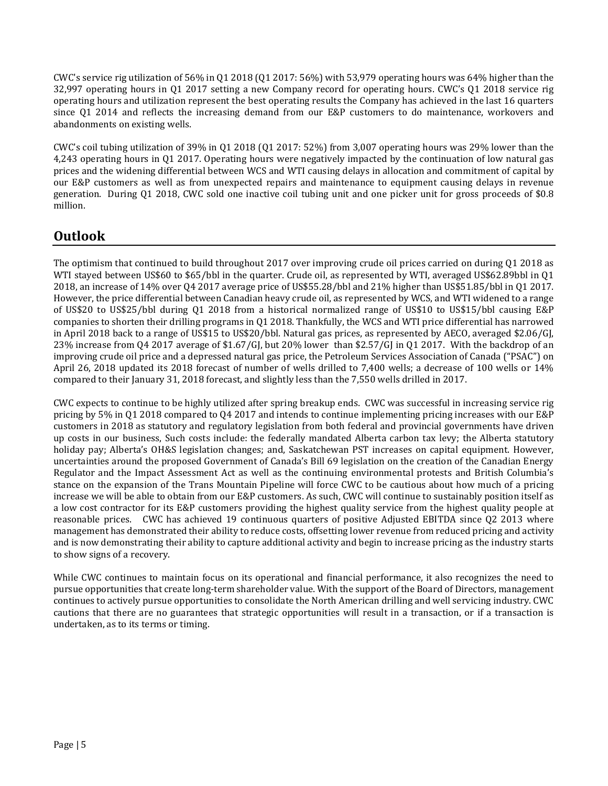CWC's service rig utilization of 56% in Q1 2018 (Q1 2017: 56%) with 53,979 operating hours was 64% higher than the 32,997 operating hours in Q1 2017 setting a new Company record for operating hours. CWC's Q1 2018 service rig operating hours and utilization represent the best operating results the Company has achieved in the last 16 quarters since Q1 2014 and reflects the increasing demand from our E&P customers to do maintenance, workovers and abandonments on existing wells.

CWC's coil tubing utilization of 39% in Q1 2018 (Q1 2017: 52%) from 3,007 operating hours was 29% lower than the 4,243 operating hours in Q1 2017. Operating hours were negatively impacted by the continuation of low natural gas prices and the widening differential between WCS and WTI causing delays in allocation and commitment of capital by our E&P customers as well as from unexpected repairs and maintenance to equipment causing delays in revenue generation. During Q1 2018, CWC sold one inactive coil tubing unit and one picker unit for gross proceeds of \$0.8 million.

# **Outlook**

The optimism that continued to build throughout 2017 over improving crude oil prices carried on during Q1 2018 as WTI stayed between US\$60 to \$65/bbl in the quarter. Crude oil, as represented by WTI, averaged US\$62.89bbl in Q1 2018, an increase of 14% over Q4 2017 average price of US\$55.28/bbl and 21% higher than US\$51.85/bbl in Q1 2017. However, the price differential between Canadian heavy crude oil, as represented by WCS, and WTI widened to a range of US\$20 to US\$25/bbl during Q1 2018 from a historical normalized range of US\$10 to US\$15/bbl causing E&P companies to shorten their drilling programs in Q1 2018. Thankfully, the WCS and WTI price differential has narrowed in April 2018 back to a range of US\$15 to US\$20/bbl. Natural gas prices, as represented by AECO, averaged \$2.06/GJ, 23% increase from Q4 2017 average of \$1.67/GJ, but 20% lower than \$2.57/GJ in Q1 2017. With the backdrop of an improving crude oil price and a depressed natural gas price, the Petroleum Services Association of Canada ("PSAC") on April 26, 2018 updated its 2018 forecast of number of wells drilled to 7,400 wells; a decrease of 100 wells or 14% compared to their January 31, 2018 forecast, and slightly less than the 7,550 wells drilled in 2017.

CWC expects to continue to be highly utilized after spring breakup ends. CWC was successful in increasing service rig pricing by 5% in Q1 2018 compared to Q4 2017 and intends to continue implementing pricing increases with our E&P customers in 2018 as statutory and regulatory legislation from both federal and provincial governments have driven up costs in our business, Such costs include: the federally mandated Alberta carbon tax levy; the Alberta statutory holiday pay; Alberta's OH&S legislation changes; and, Saskatchewan PST increases on capital equipment. However, uncertainties around the proposed Government of Canada's Bill 69 legislation on the creation of the Canadian Energy Regulator and the Impact Assessment Act as well as the continuing environmental protests and British Columbia's stance on the expansion of the Trans Mountain Pipeline will force CWC to be cautious about how much of a pricing increase we will be able to obtain from our E&P customers. As such, CWC will continue to sustainably position itself as a low cost contractor for its E&P customers providing the highest quality service from the highest quality people at reasonable prices. CWC has achieved 19 continuous quarters of positive Adjusted EBITDA since Q2 2013 where management has demonstrated their ability to reduce costs, offsetting lower revenue from reduced pricing and activity and is now demonstrating their ability to capture additional activity and begin to increase pricing as the industry starts to show signs of a recovery.

While CWC continues to maintain focus on its operational and financial performance, it also recognizes the need to pursue opportunities that create long-term shareholder value. With the support of the Board of Directors, management continues to actively pursue opportunities to consolidate the North American drilling and well servicing industry. CWC cautions that there are no guarantees that strategic opportunities will result in a transaction, or if a transaction is undertaken, as to its terms or timing.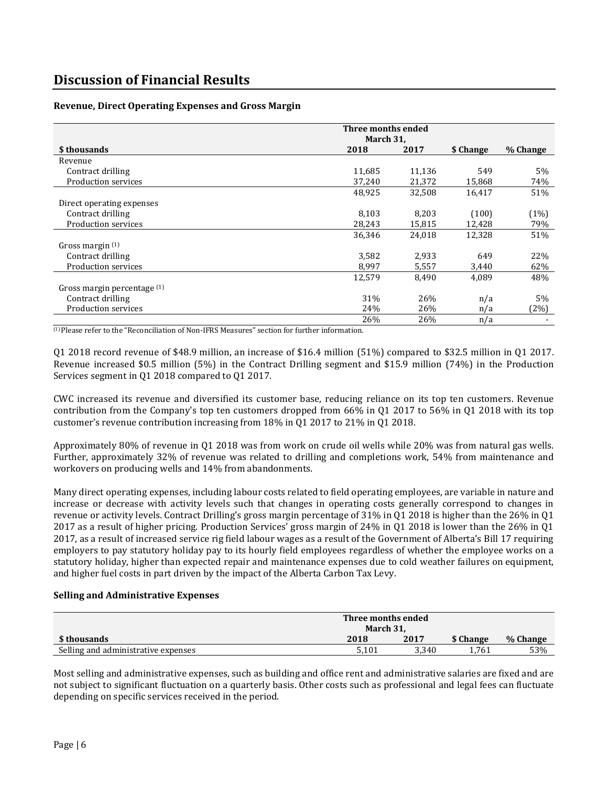### **Revenue, Direct Operating Expenses and Gross Margin**

|                             | Three months ended |        |           |          |  |
|-----------------------------|--------------------|--------|-----------|----------|--|
|                             | March 31,          |        |           |          |  |
| \$ thousands                | 2018               | 2017   | \$ Change | % Change |  |
| Revenue                     |                    |        |           |          |  |
| Contract drilling           | 11,685             | 11,136 | 549       | $5\%$    |  |
| Production services         | 37,240             | 21,372 | 15,868    | 74%      |  |
|                             | 48,925             | 32,508 | 16,417    | 51%      |  |
| Direct operating expenses   |                    |        |           |          |  |
| Contract drilling           | 8,103              | 8,203  | (100)     | (1%)     |  |
| Production services         | 28,243             | 15,815 | 12,428    | 79%      |  |
|                             | 36,346             | 24,018 | 12,328    | 51%      |  |
| Gross margin $(1)$          |                    |        |           |          |  |
| Contract drilling           | 3,582              | 2.933  | 649       | 22%      |  |
| Production services         | 8,997              | 5,557  | 3,440     | 62%      |  |
|                             | 12,579             | 8,490  | 4,089     | 48%      |  |
| Gross margin percentage (1) |                    |        |           |          |  |
| Contract drilling           | 31%                | 26%    | n/a       | 5%       |  |
| Production services         | 24%                | 26%    | n/a       | (2%)     |  |
|                             | 26%                | 26%    | n/a       |          |  |

 $<sup>(1)</sup>$  Please refer to the "Reconciliation of Non-IFRS Measures" section for further information.</sup>

Q1 2018 record revenue of \$48.9 million, an increase of \$16.4 million (51%) compared to \$32.5 million in Q1 2017. Revenue increased \$0.5 million (5%) in the Contract Drilling segment and \$15.9 million (74%) in the Production Services segment in Q1 2018 compared to Q1 2017.

CWC increased its revenue and diversified its customer base, reducing reliance on its top ten customers. Revenue contribution from the Company's top ten customers dropped from 66% in Q1 2017 to 56% in Q1 2018 with its top customer's revenue contribution increasing from 18% in Q1 2017 to 21% in Q1 2018.

Approximately 80% of revenue in Q1 2018 was from work on crude oil wells while 20% was from natural gas wells. Further, approximately 32% of revenue was related to drilling and completions work, 54% from maintenance and workovers on producing wells and 14% from abandonments.

Many direct operating expenses, including labour costs related to field operating employees, are variable in nature and increase or decrease with activity levels such that changes in operating costs generally correspond to changes in revenue or activity levels. Contract Drilling's gross margin percentage of 31% in Q1 2018 is higher than the 26% in Q1 2017 as a result of higher pricing. Production Services' gross margin of 24% in Q1 2018 is lower than the 26% in Q1 2017, as a result of increased service rig field labour wages as a result of the Government of Alberta's Bill 17 requiring employers to pay statutory holiday pay to its hourly field employees regardless of whether the employee works on a statutory holiday, higher than expected repair and maintenance expenses due to cold weather failures on equipment, and higher fuel costs in part driven by the impact of the Alberta Carbon Tax Levy.

#### **Selling and Administrative Expenses**

|                                     | Three months ended<br>March 31. |       |           |          |  |
|-------------------------------------|---------------------------------|-------|-----------|----------|--|
| \$ thousands                        | 2018                            | 2017  | \$ Change | % Change |  |
| Selling and administrative expenses | 5.101                           | 3.340 | 1.761     | 53%      |  |

Most selling and administrative expenses, such as building and office rent and administrative salaries are fixed and are not subject to significant fluctuation on a quarterly basis. Other costs such as professional and legal fees can fluctuate depending on specific services received in the period.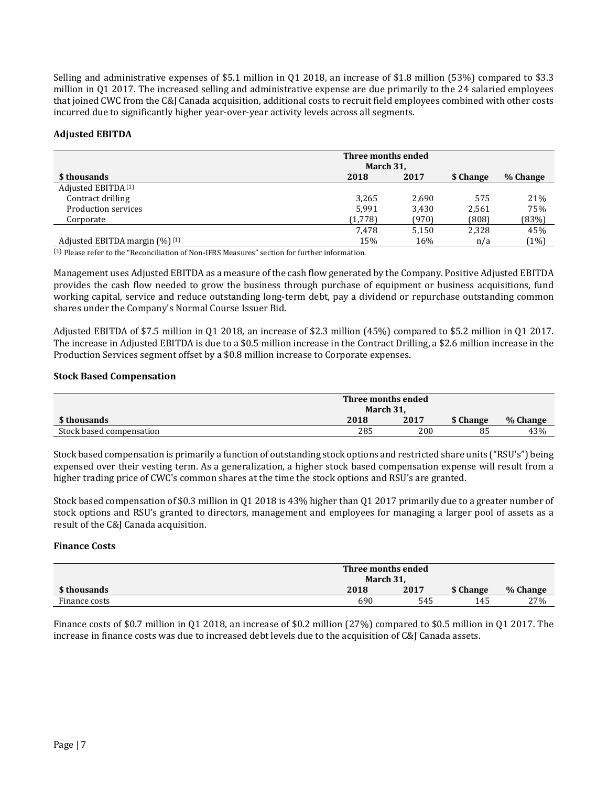Selling and administrative expenses of \$5.1 million in Q1 2018, an increase of \$1.8 million (53%) compared to \$3.3 million in Q1 2017. The increased selling and administrative expense are due primarily to the 24 salaried employees that joined CWC from the C&J Canada acquisition, additional costs to recruit field employees combined with other costs incurred due to significantly higher year-over-year activity levels across all segments.

### **Adjusted EBITDA**

|                                     | Three months ended<br>March 31, |       |           |          |  |
|-------------------------------------|---------------------------------|-------|-----------|----------|--|
| \$ thousands                        | 2018                            | 2017  | \$ Change | % Change |  |
| Adjusted EBITDA <sup>(1)</sup>      |                                 |       |           |          |  |
| Contract drilling                   | 3,265                           | 2,690 | 575       | 21%      |  |
| Production services                 | 5.991                           | 3,430 | 2,561     | 75%      |  |
| Corporate                           | (1,778)                         | (970) | (808)     | (83%)    |  |
|                                     | 7.478                           | 5,150 | 2,328     | 45%      |  |
| Adjusted EBITDA margin $(\%)^{(1)}$ | 15%                             | 16%   | n/a       | (1%)     |  |

(1) Please refer to the "Reconciliation of Non-IFRS Measures" section for further information.

Management uses Adjusted EBITDA as a measure of the cash flow generated by the Company. Positive Adjusted EBITDA provides the cash flow needed to grow the business through purchase of equipment or business acquisitions, fund working capital, service and reduce outstanding long-term debt, pay a dividend or repurchase outstanding common shares under the Company's Normal Course Issuer Bid.

Adjusted EBITDA of \$7.5 million in Q1 2018, an increase of \$2.3 million (45%) compared to \$5.2 million in Q1 2017. The increase in Adjusted EBITDA is due to a \$0.5 million increase in the Contract Drilling, a \$2.6 million increase in the Production Services segment offset by a \$0.8 million increase to Corporate expenses.

### **Stock Based Compensation**

|                          | Three months ended |      |           |          |  |
|--------------------------|--------------------|------|-----------|----------|--|
|                          | March 31,          |      |           |          |  |
| \$ thousands             | 2018               | 2017 | \$ Change | % Change |  |
| Stock based compensation | 285                | 200  | 85        | 43%      |  |

Stock based compensation is primarily a function of outstanding stock options and restricted share units ("RSU's") being expensed over their vesting term. As a generalization, a higher stock based compensation expense will result from a higher trading price of CWC's common shares at the time the stock options and RSU's are granted.

Stock based compensation of \$0.3 million in Q1 2018 is 43% higher than Q1 2017 primarily due to a greater number of stock options and RSU's granted to directors, management and employees for managing a larger pool of assets as a result of the C&J Canada acquisition.

### **Finance Costs**

|               | Three months ended<br>March 31, |      |           |          |  |
|---------------|---------------------------------|------|-----------|----------|--|
| \$ thousands  | 2018                            | 2017 | \$ Change | % Change |  |
| Finance costs | 690                             | 545  | 145       | 27%      |  |

Finance costs of \$0.7 million in Q1 2018, an increase of \$0.2 million (27%) compared to \$0.5 million in Q1 2017. The increase in finance costs was due to increased debt levels due to the acquisition of C&J Canada assets.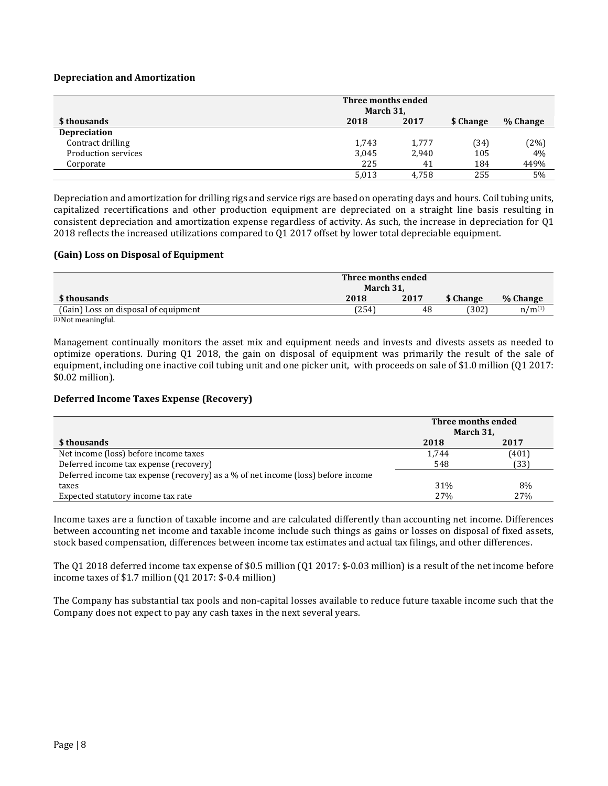#### **Depreciation and Amortization**

|                     | Three months ended<br>March 31, |       |           |          |  |
|---------------------|---------------------------------|-------|-----------|----------|--|
| \$ thousands        | 2018                            | 2017  | \$ Change | % Change |  |
| <b>Depreciation</b> |                                 |       |           |          |  |
| Contract drilling   | 1,743                           | 1,777 | (34)      | (2%)     |  |
| Production services | 3,045                           | 2,940 | 105       | 4%       |  |
| Corporate           | 225                             | 41    | 184       | 449%     |  |
|                     | 5,013                           | 4.758 | 255       | 5%       |  |

Depreciation and amortization for drilling rigs and service rigs are based on operating days and hours. Coil tubing units, capitalized recertifications and other production equipment are depreciated on a straight line basis resulting in consistent depreciation and amortization expense regardless of activity. As such, the increase in depreciation for Q1 2018 reflects the increased utilizations compared to Q1 2017 offset by lower total depreciable equipment.

#### **(Gain) Loss on Disposal of Equipment**

|                                      | Three months ended<br>March 31. |      |           |             |  |  |
|--------------------------------------|---------------------------------|------|-----------|-------------|--|--|
| \$ thousands                         | 2018                            | 2017 | \$ Change | % Change    |  |  |
| (Gain) Loss on disposal of equipment | (254)                           | 48   | (302)     | $n/m^{(1)}$ |  |  |
| $(1)$ Not mooningful                 |                                 |      |           |             |  |  |

(1) Not meaningful.

Management continually monitors the asset mix and equipment needs and invests and divests assets as needed to optimize operations. During Q1 2018, the gain on disposal of equipment was primarily the result of the sale of equipment, including one inactive coil tubing unit and one picker unit, with proceeds on sale of \$1.0 million (Q1 2017: \$0.02 million).

#### **Deferred Income Taxes Expense (Recovery)**

|                                                                                  | Three months ended<br>March 31, |       |  |
|----------------------------------------------------------------------------------|---------------------------------|-------|--|
| \$ thousands                                                                     | 2018                            | 2017  |  |
| Net income (loss) before income taxes                                            | 1,744                           | (401) |  |
| Deferred income tax expense (recovery)                                           | 548                             | (33)  |  |
| Deferred income tax expense (recovery) as a % of net income (loss) before income |                                 |       |  |
| taxes                                                                            | 31%                             | 8%    |  |
| Expected statutory income tax rate                                               | 27 <sub>%</sub>                 | 27%   |  |

Income taxes are a function of taxable income and are calculated differently than accounting net income. Differences between accounting net income and taxable income include such things as gains or losses on disposal of fixed assets, stock based compensation, differences between income tax estimates and actual tax filings, and other differences.

The Q1 2018 deferred income tax expense of \$0.5 million (Q1 2017: \$-0.03 million) is a result of the net income before income taxes of \$1.7 million (Q1 2017: \$-0.4 million)

The Company has substantial tax pools and non-capital losses available to reduce future taxable income such that the Company does not expect to pay any cash taxes in the next several years.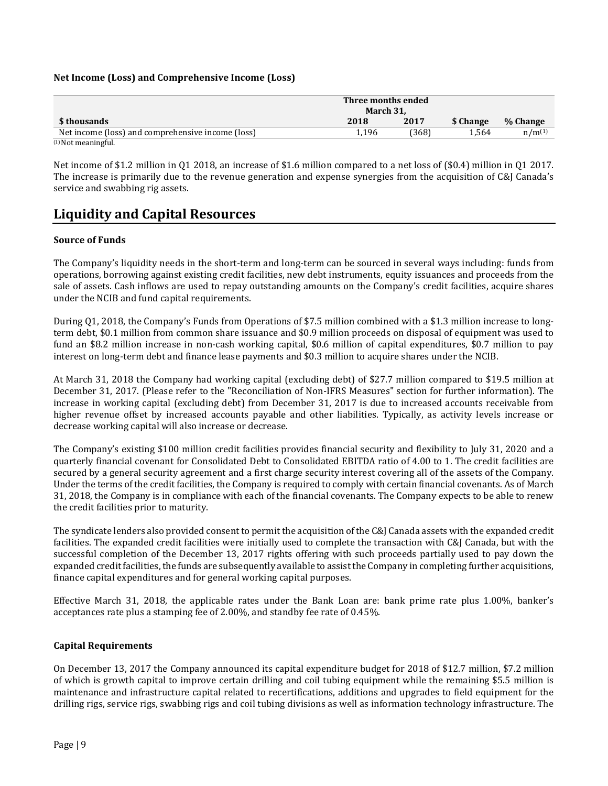### **Net Income (Loss) and Comprehensive Income (Loss)**

|                                                   | Three months ended<br>March 31. |       |           |             |  |
|---------------------------------------------------|---------------------------------|-------|-----------|-------------|--|
| \$ thousands                                      | 2018                            | 2017  | \$ Change | % Change    |  |
| Net income (loss) and comprehensive income (loss) | 1.196                           | (368) | 1.564     | $n/m^{(1)}$ |  |
| $(1)$ Not mooningful                              |                                 |       |           |             |  |

(1) Not meaningful.

Net income of \$1.2 million in Q1 2018, an increase of \$1.6 million compared to a net loss of (\$0.4) million in Q1 2017. The increase is primarily due to the revenue generation and expense synergies from the acquisition of C&J Canada's service and swabbing rig assets.

## **Liquidity and Capital Resources**

### **Source of Funds**

The Company's liquidity needs in the short-term and long-term can be sourced in several ways including: funds from operations, borrowing against existing credit facilities, new debt instruments, equity issuances and proceeds from the sale of assets. Cash inflows are used to repay outstanding amounts on the Company's credit facilities, acquire shares under the NCIB and fund capital requirements.

During Q1, 2018, the Company's Funds from Operations of \$7.5 million combined with a \$1.3 million increase to longterm debt, \$0.1 million from common share issuance and \$0.9 million proceeds on disposal of equipment was used to fund an \$8.2 million increase in non-cash working capital, \$0.6 million of capital expenditures, \$0.7 million to pay interest on long-term debt and finance lease payments and \$0.3 million to acquire shares under the NCIB.

At March 31, 2018 the Company had working capital (excluding debt) of \$27.7 million compared to \$19.5 million at December 31, 2017. (Please refer to the "Reconciliation of Non-IFRS Measures" section for further information). The increase in working capital (excluding debt) from December 31, 2017 is due to increased accounts receivable from higher revenue offset by increased accounts payable and other liabilities. Typically, as activity levels increase or decrease working capital will also increase or decrease.

The Company's existing \$100 million credit facilities provides financial security and flexibility to July 31, 2020 and a quarterly financial covenant for Consolidated Debt to Consolidated EBITDA ratio of 4.00 to 1. The credit facilities are secured by a general security agreement and a first charge security interest covering all of the assets of the Company. Under the terms of the credit facilities, the Company is required to comply with certain financial covenants. As of March 31, 2018, the Company is in compliance with each of the financial covenants. The Company expects to be able to renew the credit facilities prior to maturity.

The syndicate lenders also provided consent to permit the acquisition of the C&J Canada assets with the expanded credit facilities. The expanded credit facilities were initially used to complete the transaction with C&J Canada, but with the successful completion of the December 13, 2017 rights offering with such proceeds partially used to pay down the expanded credit facilities, the funds are subsequently available to assist the Company in completing further acquisitions, finance capital expenditures and for general working capital purposes.

Effective March 31, 2018, the applicable rates under the Bank Loan are: bank prime rate plus 1.00%, banker's acceptances rate plus a stamping fee of 2.00%, and standby fee rate of 0.45%.

#### **Capital Requirements**

On December 13, 2017 the Company announced its capital expenditure budget for 2018 of \$12.7 million, \$7.2 million of which is growth capital to improve certain drilling and coil tubing equipment while the remaining \$5.5 million is maintenance and infrastructure capital related to recertifications, additions and upgrades to field equipment for the drilling rigs, service rigs, swabbing rigs and coil tubing divisions as well as information technology infrastructure. The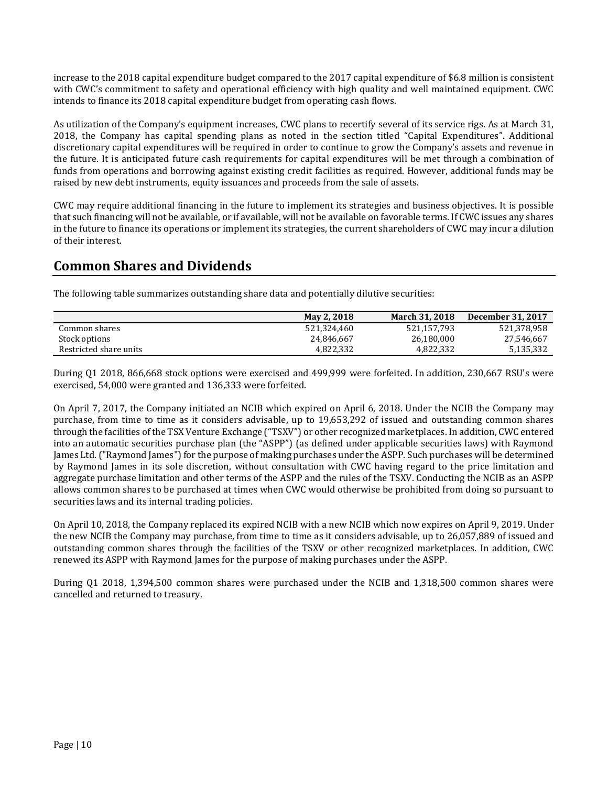increase to the 2018 capital expenditure budget compared to the 2017 capital expenditure of \$6.8 million is consistent with CWC's commitment to safety and operational efficiency with high quality and well maintained equipment. CWC intends to finance its 2018 capital expenditure budget from operating cash flows.

As utilization of the Company's equipment increases, CWC plans to recertify several of its service rigs. As at March 31, 2018, the Company has capital spending plans as noted in the section titled "Capital Expenditures". Additional discretionary capital expenditures will be required in order to continue to grow the Company's assets and revenue in the future. It is anticipated future cash requirements for capital expenditures will be met through a combination of funds from operations and borrowing against existing credit facilities as required. However, additional funds may be raised by new debt instruments, equity issuances and proceeds from the sale of assets.

CWC may require additional financing in the future to implement its strategies and business objectives. It is possible that such financing will not be available, or if available, will not be available on favorable terms. If CWC issues any shares in the future to finance its operations or implement its strategies, the current shareholders of CWC may incur a dilution of their interest.

## **Common Shares and Dividends**

The following table summarizes outstanding share data and potentially dilutive securities:

|                        | May 2, 2018 | <b>March 31, 2018</b> | December 31, 2017 |
|------------------------|-------------|-----------------------|-------------------|
| Common shares          | 521.324.460 | 521.157.793           | 521,378,958       |
| Stock options          | 24,846,667  | 26,180,000            | 27,546,667        |
| Restricted share units | 4.822.332   | 4.822.332             | 5,135,332         |

During Q1 2018, 866,668 stock options were exercised and 499,999 were forfeited. In addition, 230,667 RSU's were exercised, 54,000 were granted and 136,333 were forfeited.

On April 7, 2017, the Company initiated an NCIB which expired on April 6, 2018. Under the NCIB the Company may purchase, from time to time as it considers advisable, up to 19,653,292 of issued and outstanding common shares through the facilities of the TSX Venture Exchange ("TSXV") or other recognized marketplaces. In addition, CWC entered into an automatic securities purchase plan (the "ASPP") (as defined under applicable securities laws) with Raymond James Ltd. ("Raymond James") for the purpose of making purchases under the ASPP. Such purchases will be determined by Raymond James in its sole discretion, without consultation with CWC having regard to the price limitation and aggregate purchase limitation and other terms of the ASPP and the rules of the TSXV. Conducting the NCIB as an ASPP allows common shares to be purchased at times when CWC would otherwise be prohibited from doing so pursuant to securities laws and its internal trading policies.

On April 10, 2018, the Company replaced its expired NCIB with a new NCIB which now expires on April 9, 2019. Under the new NCIB the Company may purchase, from time to time as it considers advisable, up to 26,057,889 of issued and outstanding common shares through the facilities of the TSXV or other recognized marketplaces. In addition, CWC renewed its ASPP with Raymond James for the purpose of making purchases under the ASPP.

During Q1 2018, 1,394,500 common shares were purchased under the NCIB and 1,318,500 common shares were cancelled and returned to treasury.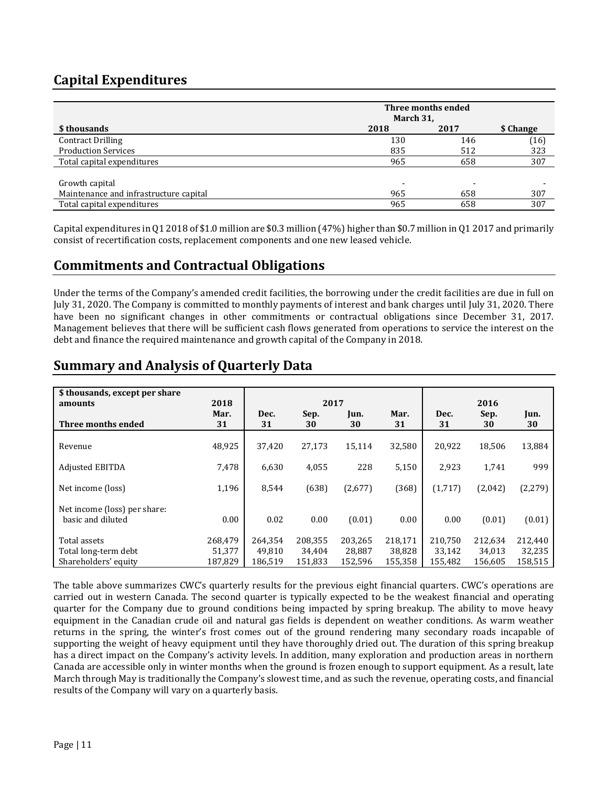# **Capital Expenditures**

|                                        | Three months ended |      |           |  |
|----------------------------------------|--------------------|------|-----------|--|
|                                        | March 31,          |      |           |  |
| \$ thousands                           | 2018               | 2017 | \$ Change |  |
| <b>Contract Drilling</b>               | 130                | 146  | (16)      |  |
| <b>Production Services</b>             | 835                | 512  | 323       |  |
| Total capital expenditures             | 965                | 658  | 307       |  |
|                                        |                    |      |           |  |
| Growth capital                         |                    |      |           |  |
| Maintenance and infrastructure capital | 965                | 658  | 307       |  |
| Total capital expenditures             | 965                | 658  | 307       |  |

Capital expenditures in Q1 2018 of \$1.0 million are \$0.3 million (47%) higher than \$0.7 million in Q1 2017 and primarily consist of recertification costs, replacement components and one new leased vehicle.

### **Commitments and Contractual Obligations**

Under the terms of the Company's amended credit facilities, the borrowing under the credit facilities are due in full on July 31, 2020. The Company is committed to monthly payments of interest and bank charges until July 31, 2020. There have been no significant changes in other commitments or contractual obligations since December 31, 2017. Management believes that there will be sufficient cash flows generated from operations to service the interest on the debt and finance the required maintenance and growth capital of the Company in 2018.

# **Summary and Analysis of Quarterly Data**

| \$ thousands, except per share<br>amounts         | 2018       | 2017       |            |            | 2016       |            |            |            |
|---------------------------------------------------|------------|------------|------------|------------|------------|------------|------------|------------|
| Three months ended                                | Mar.<br>31 | Dec.<br>31 | Sep.<br>30 | Jun.<br>30 | Mar.<br>31 | Dec.<br>31 | Sep.<br>30 | Jun.<br>30 |
| Revenue                                           | 48,925     | 37,420     | 27,173     | 15,114     | 32,580     | 20,922     | 18,506     | 13,884     |
| <b>Adjusted EBITDA</b>                            | 7.478      | 6,630      | 4,055      | 228        | 5,150      | 2,923      | 1,741      | 999        |
| Net income (loss)                                 | 1,196      | 8.544      | (638)      | (2,677)    | (368)      | (1,717)    | (2,042)    | (2, 279)   |
| Net income (loss) per share:<br>basic and diluted | 0.00       | 0.02       | 0.00       | (0.01)     | 0.00       | 0.00       | (0.01)     | (0.01)     |
| Total assets                                      | 268.479    | 264.354    | 208,355    | 203,265    | 218,171    | 210,750    | 212.634    | 212,440    |
| Total long-term debt                              | 51,377     | 49.810     | 34,404     | 28,887     | 38,828     | 33,142     | 34,013     | 32,235     |
| Shareholders' equity                              | 187,829    | 186,519    | 151,833    | 152,596    | 155,358    | 155,482    | 156,605    | 158,515    |

The table above summarizes CWC's quarterly results for the previous eight financial quarters. CWC's operations are carried out in western Canada. The second quarter is typically expected to be the weakest financial and operating quarter for the Company due to ground conditions being impacted by spring breakup. The ability to move heavy equipment in the Canadian crude oil and natural gas fields is dependent on weather conditions. As warm weather returns in the spring, the winter's frost comes out of the ground rendering many secondary roads incapable of supporting the weight of heavy equipment until they have thoroughly dried out. The duration of this spring breakup has a direct impact on the Company's activity levels. In addition, many exploration and production areas in northern Canada are accessible only in winter months when the ground is frozen enough to support equipment. As a result, late March through May is traditionally the Company's slowest time, and as such the revenue, operating costs, and financial results of the Company will vary on a quarterly basis.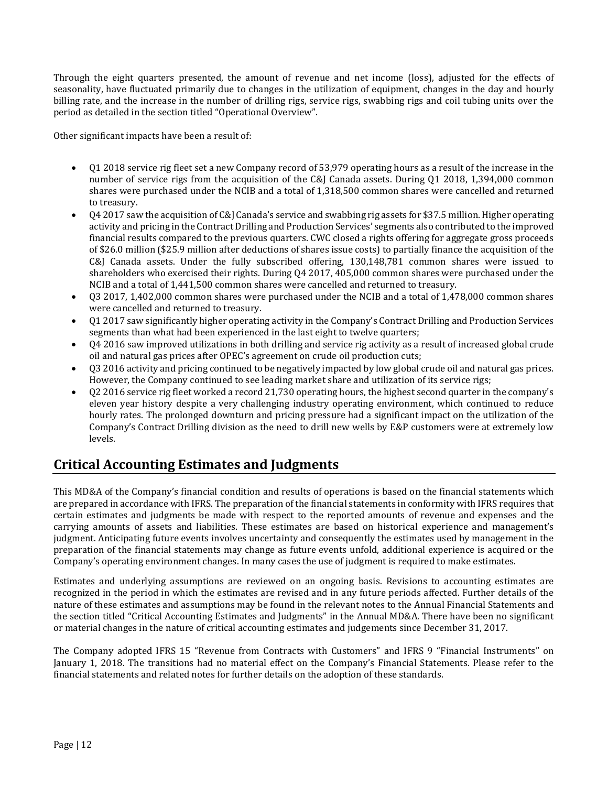Through the eight quarters presented, the amount of revenue and net income (loss), adjusted for the effects of seasonality, have fluctuated primarily due to changes in the utilization of equipment, changes in the day and hourly billing rate, and the increase in the number of drilling rigs, service rigs, swabbing rigs and coil tubing units over the period as detailed in the section titled "Operational Overview".

Other significant impacts have been a result of:

- Q1 2018 service rig fleet set a new Company record of 53,979 operating hours as a result of the increase in the number of service rigs from the acquisition of the C&J Canada assets. During Q1 2018, 1,394,000 common shares were purchased under the NCIB and a total of 1,318,500 common shares were cancelled and returned to treasury.
- Q4 2017 saw the acquisition of C&J Canada's service and swabbing rig assets for \$37.5 million. Higher operating activity and pricing in the Contract Drilling and Production Services' segments also contributed to the improved financial results compared to the previous quarters. CWC closed a rights offering for aggregate gross proceeds of \$26.0 million (\$25.9 million after deductions of shares issue costs) to partially finance the acquisition of the C&J Canada assets. Under the fully subscribed offering, 130,148,781 common shares were issued to shareholders who exercised their rights. During Q4 2017, 405,000 common shares were purchased under the NCIB and a total of 1,441,500 common shares were cancelled and returned to treasury.
- Q3 2017, 1,402,000 common shares were purchased under the NCIB and a total of 1,478,000 common shares were cancelled and returned to treasury.
- Q1 2017 saw significantly higher operating activity in the Company's Contract Drilling and Production Services segments than what had been experienced in the last eight to twelve quarters;
- Q4 2016 saw improved utilizations in both drilling and service rig activity as a result of increased global crude oil and natural gas prices after OPEC's agreement on crude oil production cuts;
- Q3 2016 activity and pricing continued to be negatively impacted by low global crude oil and natural gas prices. However, the Company continued to see leading market share and utilization of its service rigs;
- Q2 2016 service rig fleet worked a record 21,730 operating hours, the highest second quarter in the company's eleven year history despite a very challenging industry operating environment, which continued to reduce hourly rates. The prolonged downturn and pricing pressure had a significant impact on the utilization of the Company's Contract Drilling division as the need to drill new wells by E&P customers were at extremely low levels.

# **Critical Accounting Estimates and Judgments**

This MD&A of the Company's financial condition and results of operations is based on the financial statements which are prepared in accordance with IFRS. The preparation of the financial statements in conformity with IFRS requires that certain estimates and judgments be made with respect to the reported amounts of revenue and expenses and the carrying amounts of assets and liabilities. These estimates are based on historical experience and management's judgment. Anticipating future events involves uncertainty and consequently the estimates used by management in the preparation of the financial statements may change as future events unfold, additional experience is acquired or the Company's operating environment changes. In many cases the use of judgment is required to make estimates.

Estimates and underlying assumptions are reviewed on an ongoing basis. Revisions to accounting estimates are recognized in the period in which the estimates are revised and in any future periods affected. Further details of the nature of these estimates and assumptions may be found in the relevant notes to the Annual Financial Statements and the section titled "Critical Accounting Estimates and Judgments" in the Annual MD&A. There have been no significant or material changes in the nature of critical accounting estimates and judgements since December 31, 2017.

The Company adopted IFRS 15 "Revenue from Contracts with Customers" and IFRS 9 "Financial Instruments" on January 1, 2018. The transitions had no material effect on the Company's Financial Statements. Please refer to the financial statements and related notes for further details on the adoption of these standards.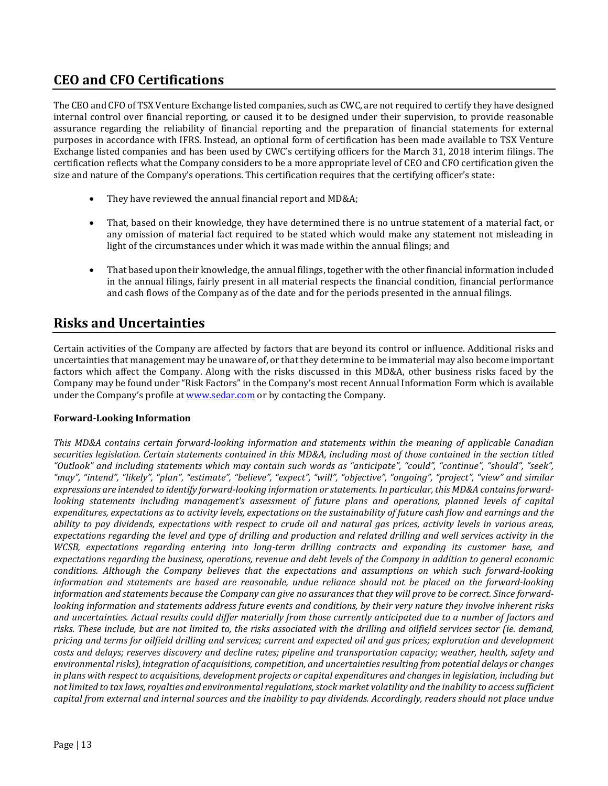# **CEO and CFO Certifications**

The CEO and CFO of TSX Venture Exchange listed companies, such as CWC, are not required to certify they have designed internal control over financial reporting, or caused it to be designed under their supervision, to provide reasonable assurance regarding the reliability of financial reporting and the preparation of financial statements for external purposes in accordance with IFRS. Instead, an optional form of certification has been made available to TSX Venture Exchange listed companies and has been used by CWC's certifying officers for the March 31, 2018 interim filings. The certification reflects what the Company considers to be a more appropriate level of CEO and CFO certification given the size and nature of the Company's operations. This certification requires that the certifying officer's state:

- They have reviewed the annual financial report and MD&A;
- That, based on their knowledge, they have determined there is no untrue statement of a material fact, or any omission of material fact required to be stated which would make any statement not misleading in light of the circumstances under which it was made within the annual filings; and
- That based upon their knowledge, the annual filings, together with the other financial information included in the annual filings, fairly present in all material respects the financial condition, financial performance and cash flows of the Company as of the date and for the periods presented in the annual filings.

## **Risks and Uncertainties**

Certain activities of the Company are affected by factors that are beyond its control or influence. Additional risks and uncertainties that management may be unaware of, or that they determine to be immaterial may also become important factors which affect the Company. Along with the risks discussed in this MD&A, other business risks faced by the Company may be found under "Risk Factors" in the Company's most recent Annual Information Form which is available under the Company's profile at [www.sedar.com](http://www.sedar.com/) or by contacting the Company.

### **Forward-Looking Information**

*This MD&A contains certain forward-looking information and statements within the meaning of applicable Canadian securities legislation. Certain statements contained in this MD&A, including most of those contained in the section titled "Outlook" and including statements which may contain such words as "anticipate", "could", "continue", "should", "seek", "may", "intend", "likely", "plan", "estimate", "believe", "expect", "will", "objective", "ongoing", "project", "view" and similar expressions are intended to identify forward-looking information or statements. In particular, this MD&A contains forwardlooking statements including management's assessment of future plans and operations, planned levels of capital expenditures, expectations as to activity levels, expectations on the sustainability of future cash flow and earnings and the ability to pay dividends, expectations with respect to crude oil and natural gas prices, activity levels in various areas, expectations regarding the level and type of drilling and production and related drilling and well services activity in the WCSB, expectations regarding entering into long-term drilling contracts and expanding its customer base, and expectations regarding the business, operations, revenue and debt levels of the Company in addition to general economic conditions. Although the Company believes that the expectations and assumptions on which such forward-looking information and statements are based are reasonable, undue reliance should not be placed on the forward-looking information and statements because the Company can give no assurances that they will prove to be correct. Since forwardlooking information and statements address future events and conditions, by their very nature they involve inherent risks and uncertainties. Actual results could differ materially from those currently anticipated due to a number of factors and risks. These include, but are not limited to, the risks associated with the drilling and oilfield services sector (ie. demand, pricing and terms for oilfield drilling and services; current and expected oil and gas prices; exploration and development costs and delays; reserves discovery and decline rates; pipeline and transportation capacity; weather, health, safety and environmental risks), integration of acquisitions, competition, and uncertainties resulting from potential delays or changes in plans with respect to acquisitions, development projects or capital expenditures and changes in legislation, including but not limited to tax laws, royalties and environmental regulations, stock market volatility and the inability to access sufficient capital from external and internal sources and the inability to pay dividends. Accordingly, readers should not place undue*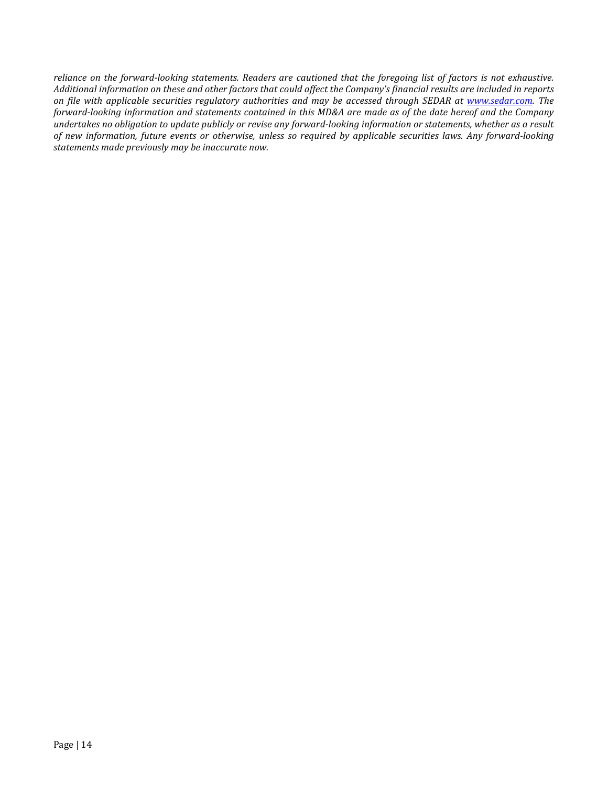*reliance on the forward-looking statements. Readers are cautioned that the foregoing list of factors is not exhaustive. Additional information on these and other factors that could affect the Company's financial results are included in reports on file with applicable securities regulatory authorities and may be accessed through SEDAR at [www.sedar.com.](http://www.sedar.com/) The forward-looking information and statements contained in this MD&A are made as of the date hereof and the Company undertakes no obligation to update publicly or revise any forward-looking information or statements, whether as a result of new information, future events or otherwise, unless so required by applicable securities laws. Any forward-looking statements made previously may be inaccurate now.*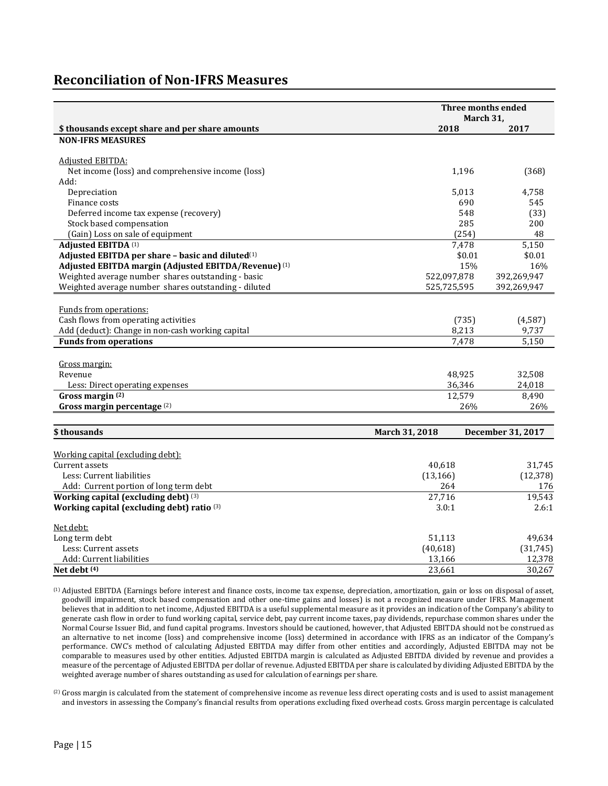### **Reconciliation of Non-IFRS Measures**

|                                                              |                       | Three months ended<br>March 31, |  |
|--------------------------------------------------------------|-----------------------|---------------------------------|--|
| \$ thousands except share and per share amounts              | 2018                  | 2017                            |  |
| <b>NON-IFRS MEASURES</b>                                     |                       |                                 |  |
|                                                              |                       |                                 |  |
| Adjusted EBITDA:                                             |                       |                                 |  |
| Net income (loss) and comprehensive income (loss)            | 1,196                 | (368)                           |  |
| Add:                                                         |                       |                                 |  |
| Depreciation                                                 | 5,013                 | 4,758                           |  |
| Finance costs                                                | 690                   | 545                             |  |
| Deferred income tax expense (recovery)                       | 548                   | (33)                            |  |
| Stock based compensation                                     | 285                   | 200                             |  |
| (Gain) Loss on sale of equipment                             | (254)                 | 48                              |  |
| Adjusted EBITDA (1)                                          | 7,478                 | 5,150                           |  |
| Adjusted EBITDA per share - basic and diluted <sup>(1)</sup> | \$0.01                | \$0.01                          |  |
| Adjusted EBITDA margin (Adjusted EBITDA/Revenue) (1)         | 15%                   | 16%                             |  |
| Weighted average number shares outstanding - basic           | 522,097,878           | 392,269,947                     |  |
| Weighted average number shares outstanding - diluted         | 525,725,595           | 392,269,947                     |  |
|                                                              |                       |                                 |  |
| Funds from operations:                                       |                       |                                 |  |
| Cash flows from operating activities                         | (735)                 | (4,587)                         |  |
| Add (deduct): Change in non-cash working capital             | 8,213                 | 9,737                           |  |
| <b>Funds from operations</b>                                 | 7,478                 | 5,150                           |  |
|                                                              |                       |                                 |  |
| Gross margin:                                                |                       |                                 |  |
| Revenue                                                      | 48,925                | 32,508                          |  |
| Less: Direct operating expenses                              | 36,346                | 24,018                          |  |
| Gross margin (2)                                             | 12,579                | 8,490                           |  |
| Gross margin percentage (2)                                  | 26%                   | 26%                             |  |
|                                                              |                       |                                 |  |
| \$thousands                                                  | <b>March 31, 2018</b> | December 31, 2017               |  |
| Working capital (excluding debt):                            |                       |                                 |  |
| Current assets                                               | 40,618                | 31,745                          |  |
| Less: Current liabilities                                    | (13, 166)             | (12, 378)                       |  |
| Add: Current portion of long term debt                       | 264                   | 176                             |  |
| Working capital (excluding debt) (3)                         | 27,716                | 19,543                          |  |
| Working capital (excluding debt) ratio (3)                   | 3.0:1                 | 2.6:1                           |  |
|                                                              |                       |                                 |  |
| Net debt:                                                    |                       |                                 |  |
| Long term debt                                               | 51,113                | 49,634                          |  |
| Less: Current assets                                         | (40, 618)             | (31, 745)                       |  |
| Add: Current liabilities                                     | 13,166                | 12,378                          |  |
| Net debt (4)                                                 | 23,661                | 30,267                          |  |

(1) Adjusted EBITDA (Earnings before interest and finance costs, income tax expense, depreciation, amortization, gain or loss on disposal of asset, goodwill impairment, stock based compensation and other one-time gains and losses) is not a recognized measure under IFRS. Management believes that in addition to net income, Adjusted EBITDA is a useful supplemental measure as it provides an indication of the Company's ability to generate cash flow in order to fund working capital, service debt, pay current income taxes, pay dividends, repurchase common shares under the Normal Course Issuer Bid, and fund capital programs. Investors should be cautioned, however, that Adjusted EBITDA should not be construed as an alternative to net income (loss) and comprehensive income (loss) determined in accordance with IFRS as an indicator of the Company's performance. CWC's method of calculating Adjusted EBITDA may differ from other entities and accordingly, Adjusted EBITDA may not be comparable to measures used by other entities. Adjusted EBITDA margin is calculated as Adjusted EBITDA divided by revenue and provides a measure of the percentage of Adjusted EBITDA per dollar of revenue. Adjusted EBITDA per share is calculated by dividing Adjusted EBITDA by the weighted average number of shares outstanding as used for calculation of earnings per share.

(2) Gross margin is calculated from the statement of comprehensive income as revenue less direct operating costs and is used to assist management and investors in assessing the Company's financial results from operations excluding fixed overhead costs. Gross margin percentage is calculated